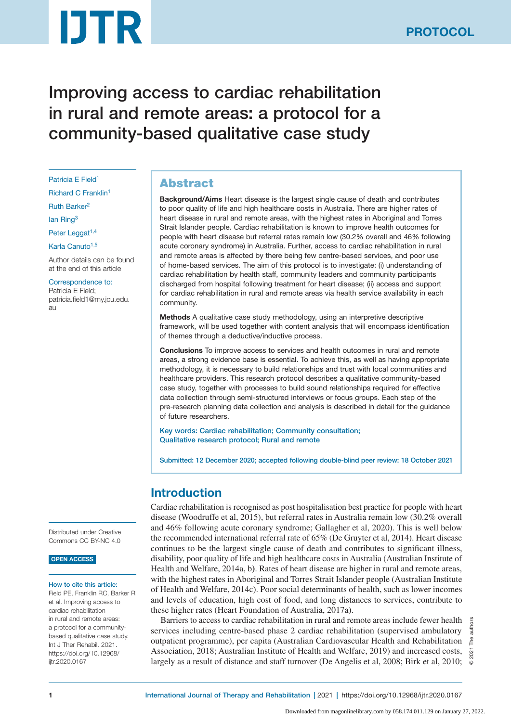# **DTR**

Improving access to cardiac rehabilitation in rural and remote areas: a protocol for a community-based qualitative case study

Patricia E Field<sup>1</sup>

Richard C Franklin1

Ruth Barker<sup>2</sup>

lan Ring<sup>3</sup>

Peter Leggat<sup>1,4</sup>

Karla Canuto<sup>1,5</sup>

Author details can be found at the end of this article

Correspondence to: Patricia E Field; patricia.field1@my.jcu.edu. au

Distributed under Creative Commons CC BY-NC 4.0

#### OPEN ACCESS

#### How to cite this article:

Field PE, Franklin RC, Barker R et al. Improving access to cardiac rehabilitation in rural and remote areas: a protocol for a communitybased qualitative case study. Int J Ther Rehabil. 2021. https://doi.org/10.12968/ ijtr.2020.0167

# Abstract

Background/Aims Heart disease is the largest single cause of death and contributes to poor quality of life and high healthcare costs in Australia. There are higher rates of heart disease in rural and remote areas, with the highest rates in Aboriginal and Torres Strait Islander people. Cardiac rehabilitation is known to improve health outcomes for people with heart disease but referral rates remain low (30.2% overall and 46% following acute coronary syndrome) in Australia. Further, access to cardiac rehabilitation in rural and remote areas is affected by there being few centre-based services, and poor use of home-based services. The aim of this protocol is to investigate: (i) understanding of cardiac rehabilitation by health staff, community leaders and community participants discharged from hospital following treatment for heart disease; (ii) access and support for cardiac rehabilitation in rural and remote areas via health service availability in each community.

Methods A qualitative case study methodology, using an interpretive descriptive framework, will be used together with content analysis that will encompass identification of themes through a deductive/inductive process.

Conclusions To improve access to services and health outcomes in rural and remote areas, a strong evidence base is essential. To achieve this, as well as having appropriate methodology, it is necessary to build relationships and trust with local communities and healthcare providers. This research protocol describes a qualitative community-based case study, together with processes to build sound relationships required for effective data collection through semi-structured interviews or focus groups. Each step of the pre-research planning data collection and analysis is described in detail for the guidance of future researchers.

Key words: Cardiac rehabilitation; Community consultation; Qualitative research protocol; Rural and remote

Submitted: 12 December 2020; accepted following double-blind peer review: 18 October 2021

# Introduction

Cardiac rehabilitation is recognised as post hospitalisation best practice for people with heart disease (Woodruffe et al, 2015), but referral rates in Australia remain low (30.2% overall and 46% following acute coronary syndrome; Gallagher et al, 2020). This is well below the recommended international referral rate of 65% (De Gruyter et al, 2014). Heart disease continues to be the largest single cause of death and contributes to significant illness, disability, poor quality of life and high healthcare costs in Australia (Australian Institute of Health and Welfare, 2014a, b**)**. Rates of heart disease are higher in rural and remote areas, with the highest rates in Aboriginal and Torres Strait Islander people (Australian Institute of Health and Welfare, 2014c). Poor social determinants of health, such as lower incomes and levels of education, high cost of food, and long distances to services, contribute to these higher rates (Heart Foundation of Australia, 2017a).

Barriers to access to cardiac rehabilitation in rural and remote areas include fewer health services including centre-based phase 2 cardiac rehabilitation (supervised ambulatory outpatient programme), per capita (Australian Cardiovascular Health and Rehabilitation Association, 2018; Australian Institute of Health and Welfare, 2019) and increased costs, largely as a result of distance and staff turnover (De Angelis et al, 2008; Birk et al, 2010;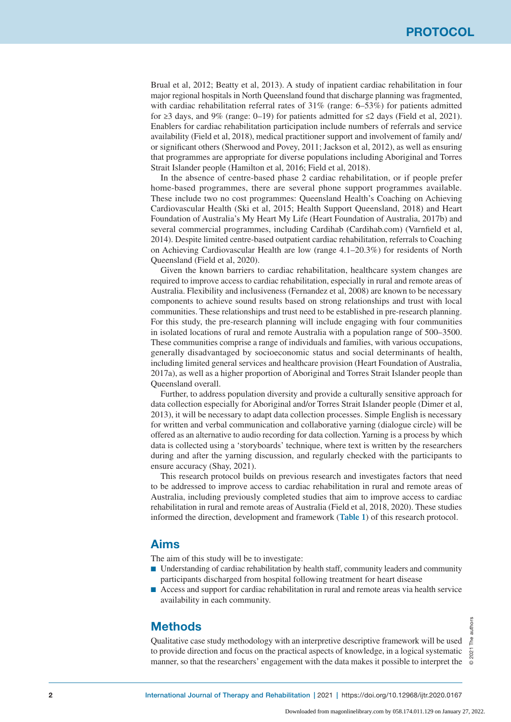Brual et al, 2012; Beatty et al, 2013). A study of inpatient cardiac rehabilitation in four major regional hospitals in North Queensland found that discharge planning was fragmented, with cardiac rehabilitation referral rates of  $31\%$  (range: 6–53%) for patients admitted for ≥3 days, and 9% (range: 0–19) for patients admitted for  $\leq$ 2 days (Field et al, 2021). Enablers for cardiac rehabilitation participation include numbers of referrals and service availability (Field et al, 2018), medical practitioner support and involvement of family and/ or significant others (Sherwood and Povey, 2011; Jackson et al, 2012), as well as ensuring that programmes are appropriate for diverse populations including Aboriginal and Torres Strait Islander people (Hamilton et al, 2016; Field et al, 2018).

In the absence of centre-based phase 2 cardiac rehabilitation, or if people prefer home-based programmes, there are several phone support programmes available. These include two no cost programmes: Queensland Health's Coaching on Achieving Cardiovascular Health (Ski et al, 2015; Health Support Queensland, 2018) and Heart Foundation of Australia's My Heart My Life (Heart Foundation of Australia, 2017b) and several commercial programmes, including Cardihab (Cardihab.com) (Varnfield et al, 2014). Despite limited centre-based outpatient cardiac rehabilitation, referrals to Coaching on Achieving Cardiovascular Health are low (range 4.1–20.3%) for residents of North Queensland (Field et al, 2020).

Given the known barriers to cardiac rehabilitation, healthcare system changes are required to improve access to cardiac rehabilitation, especially in rural and remote areas of Australia. Flexibility and inclusiveness (Fernandez et al, 2008) are known to be necessary components to achieve sound results based on strong relationships and trust with local communities. These relationships and trust need to be established in pre-research planning. For this study, the pre-research planning will include engaging with four communities in isolated locations of rural and remote Australia with a population range of 500–3500. These communities comprise a range of individuals and families, with various occupations, generally disadvantaged by socioeconomic status and social determinants of health, including limited general services and healthcare provision (Heart Foundation of Australia, 2017a), as well as a higher proportion of Aboriginal and Torres Strait Islander people than Queensland overall.

Further, to address population diversity and provide a culturally sensitive approach for data collection especially for Aboriginal and/or Torres Strait Islander people (Dimer et al, 2013), it will be necessary to adapt data collection processes. Simple English is necessary for written and verbal communication and collaborative yarning (dialogue circle) will be offered as an alternative to audio recording for data collection. Yarning is a process by which data is collected using a 'storyboards' technique, where text is written by the researchers during and after the yarning discussion, and regularly checked with the participants to ensure accuracy (Shay, 2021).

This research protocol builds on previous research and investigates factors that need to be addressed to improve access to cardiac rehabilitation in rural and remote areas of Australia, including previously completed studies that aim to improve access to cardiac rehabilitation in rural and remote areas of Australia (Field et al, 2018, 2020). These studies informed the direction, development and framework (**Table 1**) of this research protocol.

# Aims

The aim of this study will be to investigate:

- Understanding of cardiac rehabilitation by health staff, community leaders and community participants discharged from hospital following treatment for heart disease
- Access and support for cardiac rehabilitation in rural and remote areas via health service availability in each community.

# **Methods**

Qualitative case study methodology with an interpretive descriptive framework will be used to provide direction and focus on the practical aspects of knowledge, in a logical systematic manner, so that the researchers' engagement with the data makes it possible to interpret the

authors © 2021 The authors L<br>Pe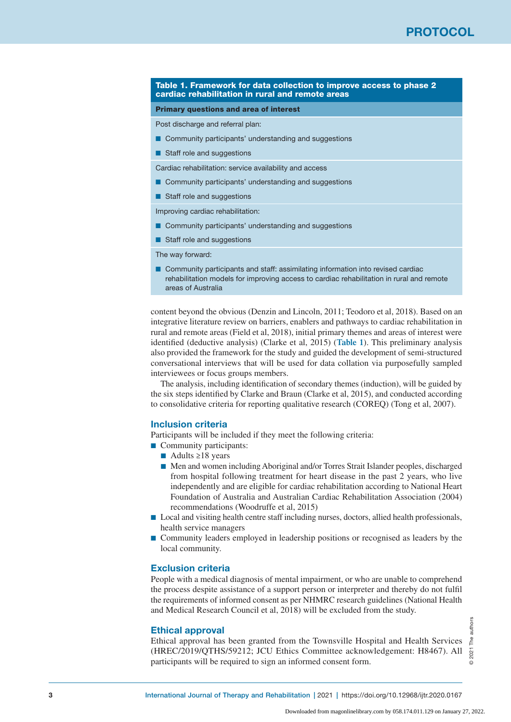#### Table 1. Framework for data collection to improve access to phase 2 cardiac rehabilitation in rural and remote areas

#### Primary questions and area of interest

Post discharge and referral plan:

- Community participants' understanding and suggestions
- Staff role and suggestions

Cardiac rehabilitation: service availability and access

- Community participants' understanding and suggestions
- Staff role and suggestions

Improving cardiac rehabilitation:

- Community participants' understanding and suggestions
- Staff role and suggestions

The way forward:

■ Community participants and staff: assimilating information into revised cardiac rehabilitation models for improving access to cardiac rehabilitation in rural and remote areas of Australia

content beyond the obvious (Denzin and Lincoln, 2011; Teodoro et al, 2018). Based on an integrative literature review on barriers, enablers and pathways to cardiac rehabilitation in rural and remote areas (Field et al, 2018), initial primary themes and areas of interest were identified (deductive analysis) (Clarke et al, 2015) (**Table 1**). This preliminary analysis also provided the framework for the study and guided the development of semi-structured conversational interviews that will be used for data collation via purposefully sampled interviewees or focus groups members.

The analysis, including identification of secondary themes (induction), will be guided by the six steps identified by Clarke and Braun (Clarke et al, 2015), and conducted according to consolidative criteria for reporting qualitative research (COREQ) (Tong et al, 2007).

### Inclusion criteria

Participants will be included if they meet the following criteria:

- Community participants:
	- $\blacksquare$  Adults ≥18 years
	- Men and women including Aboriginal and/or Torres Strait Islander peoples, discharged from hospital following treatment for heart disease in the past 2 years, who live independently and are eligible for cardiac rehabilitation according to National Heart Foundation of Australia and Australian Cardiac Rehabilitation Association (2004) recommendations (Woodruffe et al, 2015)
- Local and visiting health centre staff including nurses, doctors, allied health professionals, health service managers
- Community leaders employed in leadership positions or recognised as leaders by the local community.

## Exclusion criteria

People with a medical diagnosis of mental impairment, or who are unable to comprehend the process despite assistance of a support person or interpreter and thereby do not fulfil the requirements of informed consent as per NHMRC research guidelines (National Health and Medical Research Council et al, 2018) will be excluded from the study.

#### Ethical approval

Ethical approval has been granted from the Townsville Hospital and Health Services (HREC/2019/QTHS/59212; JCU Ethics Committee acknowledgement: H8467). All participants will be required to sign an informed consent form.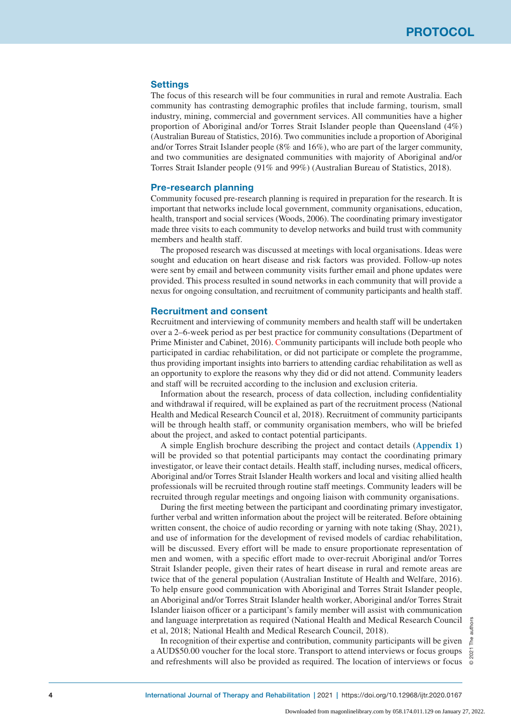## **Settings**

The focus of this research will be four communities in rural and remote Australia. Each community has contrasting demographic profiles that include farming, tourism, small industry, mining, commercial and government services. All communities have a higher proportion of Aboriginal and/or Torres Strait Islander people than Queensland (4%) (Australian Bureau of Statistics, 2016**)**. Two communities include a proportion of Aboriginal and/or Torres Strait Islander people (8% and 16%), who are part of the larger community, and two communities are designated communities with majority of Aboriginal and/or Torres Strait Islander people (91% and 99%) (Australian Bureau of Statistics, 2018).

#### Pre-research planning

Community focused pre-research planning is required in preparation for the research. It is important that networks include local government, community organisations, education, health, transport and social services (Woods, 2006). The coordinating primary investigator made three visits to each community to develop networks and build trust with community members and health staff.

The proposed research was discussed at meetings with local organisations. Ideas were sought and education on heart disease and risk factors was provided. Follow-up notes were sent by email and between community visits further email and phone updates were provided. This process resulted in sound networks in each community that will provide a nexus for ongoing consultation, and recruitment of community participants and health staff.

## Recruitment and consent

Recruitment and interviewing of community members and health staff will be undertaken over a 2–6-week period as per best practice for community consultations (Department of Prime Minister and Cabinet, 2016). Community participants will include both people who participated in cardiac rehabilitation, or did not participate or complete the programme, thus providing important insights into barriers to attending cardiac rehabilitation as well as an opportunity to explore the reasons why they did or did not attend. Community leaders and staff will be recruited according to the inclusion and exclusion criteria.

Information about the research, process of data collection, including confidentiality and withdrawal if required, will be explained as part of the recruitment process (National Health and Medical Research Council et al, 2018). Recruitment of community participants will be through health staff, or community organisation members, who will be briefed about the project, and asked to contact potential participants.

A simple English brochure describing the project and contact details (**Appendix 1**) will be provided so that potential participants may contact the coordinating primary investigator, or leave their contact details. Health staff, including nurses, medical officers, Aboriginal and/or Torres Strait Islander Health workers and local and visiting allied health professionals will be recruited through routine staff meetings. Community leaders will be recruited through regular meetings and ongoing liaison with community organisations.

During the first meeting between the participant and coordinating primary investigator, further verbal and written information about the project will be reiterated. Before obtaining written consent, the choice of audio recording or yarning with note taking (Shay, 2021), and use of information for the development of revised models of cardiac rehabilitation, will be discussed. Every effort will be made to ensure proportionate representation of men and women, with a specific effort made to over-recruit Aboriginal and/or Torres Strait Islander people, given their rates of heart disease in rural and remote areas are twice that of the general population (Australian Institute of Health and Welfare, 2016). To help ensure good communication with Aboriginal and Torres Strait Islander people, an Aboriginal and/or Torres Strait Islander health worker, Aboriginal and/or Torres Strait Islander liaison officer or a participant's family member will assist with communication and language interpretation as required (National Health and Medical Research Council et al, 2018; National Health and Medical Research Council, 2018).

In recognition of their expertise and contribution, community participants will be given a AUD\$50.00 voucher for the local store. Transport to attend interviews or focus groups and refreshments will also be provided as required. The location of interviews or focus

© 2021 The authors The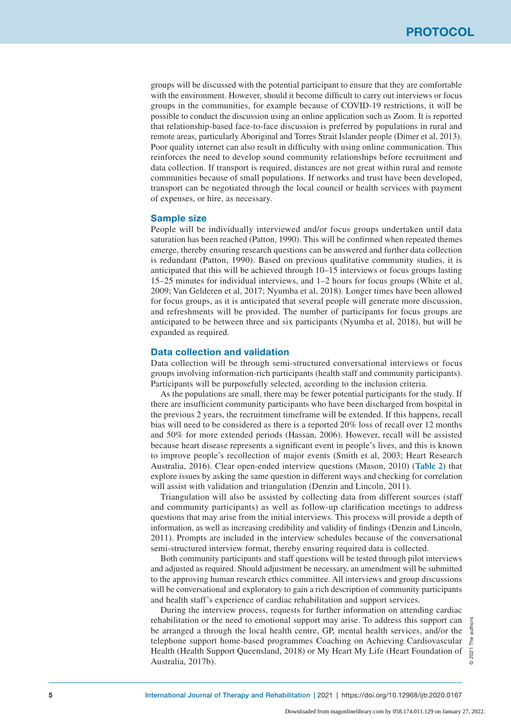groups will be discussed with the potential participant to ensure that they are comfortable with the environment. However, should it become difficult to carry out interviews or focus groups in the communities, for example because of COVID-19 restrictions, it will be possible to conduct the discussion using an online application such as Zoom. It is reported that relationship-based face-to-face discussion is preferred by populations in rural and remote areas, particularly Aboriginal and Torres Strait Islander people (Dimer et al, 2013). Poor quality internet can also result in difficulty with using online communication. This reinforces the need to develop sound community relationships before recruitment and data collection. If transport is required, distances are not great within rural and remote communities because of small populations. If networks and trust have been developed, transport can be negotiated through the local council or health services with payment of expenses, or hire, as necessary.

## Sample size

People will be individually interviewed and/or focus groups undertaken until data saturation has been reached (Patton, 1990). This will be confirmed when repeated themes emerge, thereby ensuring research questions can be answered and further data collection is redundant (Patton, 1990). Based on previous qualitative community studies, it is anticipated that this will be achieved through 10–15 interviews or focus groups lasting 15–25 minutes for individual interviews, and 1–2 hours for focus groups (White et al, 2009; Van Gelderen et al, 2017; Nyumba et al, 2018). Longer times have been allowed for focus groups, as it is anticipated that several people will generate more discussion, and refreshments will be provided. The number of participants for focus groups are anticipated to be between three and six participants (Nyumba et al, 2018), but will be expanded as required.

# Data collection and validation

Data collection will be through semi-structured conversational interviews or focus groups involving information-rich participants (health staff and community participants). Participants will be purposefully selected, according to the inclusion criteria.

As the populations are small, there may be fewer potential participants for the study. If there are insufficient community participants who have been discharged from hospital in the previous 2 years, the recruitment timeframe will be extended. If this happens, recall bias will need to be considered as there is a reported 20% loss of recall over 12 months and 50% for more extended periods (Hassan, 2006). However, recall will be assisted because heart disease represents a significant event in people's lives, and this is known to improve people's recollection of major events (Smith et al, 2003; Heart Research Australia, 2016). Clear open-ended interview questions (Mason, 2010) (**Table 2**) that explore issues by asking the same question in different ways and checking for correlation will assist with validation and triangulation (Denzin and Lincoln, 2011).

Triangulation will also be assisted by collecting data from different sources (staff and community participants) as well as follow-up clarification meetings to address questions that may arise from the initial interviews. This process will provide a depth of information, as well as increasing credibility and validity of findings (Denzin and Lincoln, 2011). Prompts are included in the interview schedules because of the conversational semi-structured interview format, thereby ensuring required data is collected.

Both community participants and staff questions will be tested through pilot interviews and adjusted as required. Should adjustment be necessary, an amendment will be submitted to the approving human research ethics committee. All interviews and group discussions will be conversational and exploratory to gain a rich description of community participants and health staff's experience of cardiac rehabilitation and support services.

During the interview process, requests for further information on attending cardiac rehabilitation or the need to emotional support may arise. To address this support can be arranged a through the local health centre, GP, mental health services, and/or the telephone support home-based programmes Coaching on Achieving Cardiovascular Health (Health Support Queensland, 2018) or My Heart My Life (Heart Foundation of Australia, 2017b).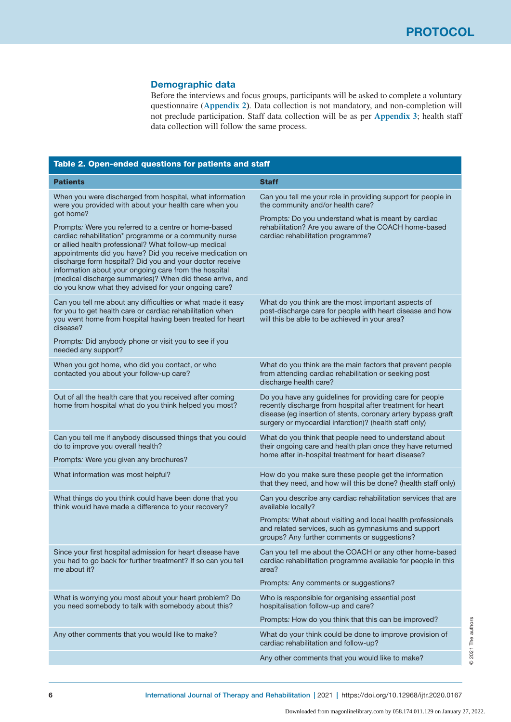# Demographic data

Before the interviews and focus groups, participants will be asked to complete a voluntary questionnaire (**Appendix 2)**. Data collection is not mandatory, and non-completion will not preclude participation. Staff data collection will be as per **Appendix 3**; health staff data collection will follow the same process.

| Table 2. Open-ended questions for patients and staff                                                                                                                                                                                                                                                                                                                                                                                                                          |                                                                                                                                                                                                                                                   |  |  |  |  |  |
|-------------------------------------------------------------------------------------------------------------------------------------------------------------------------------------------------------------------------------------------------------------------------------------------------------------------------------------------------------------------------------------------------------------------------------------------------------------------------------|---------------------------------------------------------------------------------------------------------------------------------------------------------------------------------------------------------------------------------------------------|--|--|--|--|--|
| <b>Patients</b>                                                                                                                                                                                                                                                                                                                                                                                                                                                               | <b>Staff</b>                                                                                                                                                                                                                                      |  |  |  |  |  |
| When you were discharged from hospital, what information<br>were you provided with about your health care when you<br>got home?                                                                                                                                                                                                                                                                                                                                               | Can you tell me your role in providing support for people in<br>the community and/or health care?                                                                                                                                                 |  |  |  |  |  |
| Prompts: Were you referred to a centre or home-based<br>cardiac rehabilitation* programme or a community nurse<br>or allied health professional? What follow-up medical<br>appointments did you have? Did you receive medication on<br>discharge form hospital? Did you and your doctor receive<br>information about your ongoing care from the hospital<br>(medical discharge summaries)? When did these arrive, and<br>do you know what they advised for your ongoing care? | Prompts: Do you understand what is meant by cardiac<br>rehabilitation? Are you aware of the COACH home-based<br>cardiac rehabilitation programme?                                                                                                 |  |  |  |  |  |
| Can you tell me about any difficulties or what made it easy<br>for you to get health care or cardiac rehabilitation when<br>you went home from hospital having been treated for heart<br>disease?                                                                                                                                                                                                                                                                             | What do you think are the most important aspects of<br>post-discharge care for people with heart disease and how<br>will this be able to be achieved in your area?                                                                                |  |  |  |  |  |
| Prompts: Did anybody phone or visit you to see if you<br>needed any support?                                                                                                                                                                                                                                                                                                                                                                                                  |                                                                                                                                                                                                                                                   |  |  |  |  |  |
| When you got home, who did you contact, or who<br>contacted you about your follow-up care?                                                                                                                                                                                                                                                                                                                                                                                    | What do you think are the main factors that prevent people<br>from attending cardiac rehabilitation or seeking post<br>discharge health care?                                                                                                     |  |  |  |  |  |
| Out of all the health care that you received after coming<br>home from hospital what do you think helped you most?                                                                                                                                                                                                                                                                                                                                                            | Do you have any guidelines for providing care for people<br>recently discharge from hospital after treatment for heart<br>disease (eg insertion of stents, coronary artery bypass graft<br>surgery or myocardial infarction)? (health staff only) |  |  |  |  |  |
| Can you tell me if anybody discussed things that you could<br>do to improve you overall health?                                                                                                                                                                                                                                                                                                                                                                               | What do you think that people need to understand about<br>their ongoing care and health plan once they have returned<br>home after in-hospital treatment for heart disease?                                                                       |  |  |  |  |  |
| Prompts: Were you given any brochures?                                                                                                                                                                                                                                                                                                                                                                                                                                        |                                                                                                                                                                                                                                                   |  |  |  |  |  |
| What information was most helpful?                                                                                                                                                                                                                                                                                                                                                                                                                                            | How do you make sure these people get the information<br>that they need, and how will this be done? (health staff only)                                                                                                                           |  |  |  |  |  |
| What things do you think could have been done that you<br>think would have made a difference to your recovery?                                                                                                                                                                                                                                                                                                                                                                | Can you describe any cardiac rehabilitation services that are<br>available locally?                                                                                                                                                               |  |  |  |  |  |
|                                                                                                                                                                                                                                                                                                                                                                                                                                                                               | Prompts: What about visiting and local health professionals<br>and related services, such as gymnasiums and support<br>groups? Any further comments or suggestions?                                                                               |  |  |  |  |  |
| Since your first hospital admission for heart disease have<br>you had to go back for further treatment? If so can you tell<br>me about it?                                                                                                                                                                                                                                                                                                                                    | Can you tell me about the COACH or any other home-based<br>cardiac rehabilitation programme available for people in this<br>area?                                                                                                                 |  |  |  |  |  |
|                                                                                                                                                                                                                                                                                                                                                                                                                                                                               | Prompts: Any comments or suggestions?                                                                                                                                                                                                             |  |  |  |  |  |
| What is worrying you most about your heart problem? Do<br>you need somebody to talk with somebody about this?                                                                                                                                                                                                                                                                                                                                                                 | Who is responsible for organising essential post<br>hospitalisation follow-up and care?                                                                                                                                                           |  |  |  |  |  |
|                                                                                                                                                                                                                                                                                                                                                                                                                                                                               | Prompts: How do you think that this can be improved?                                                                                                                                                                                              |  |  |  |  |  |
| Any other comments that you would like to make?                                                                                                                                                                                                                                                                                                                                                                                                                               | What do your think could be done to improve provision of<br>cardiac rehabilitation and follow-up?                                                                                                                                                 |  |  |  |  |  |
|                                                                                                                                                                                                                                                                                                                                                                                                                                                                               | Any other comments that you would like to make?                                                                                                                                                                                                   |  |  |  |  |  |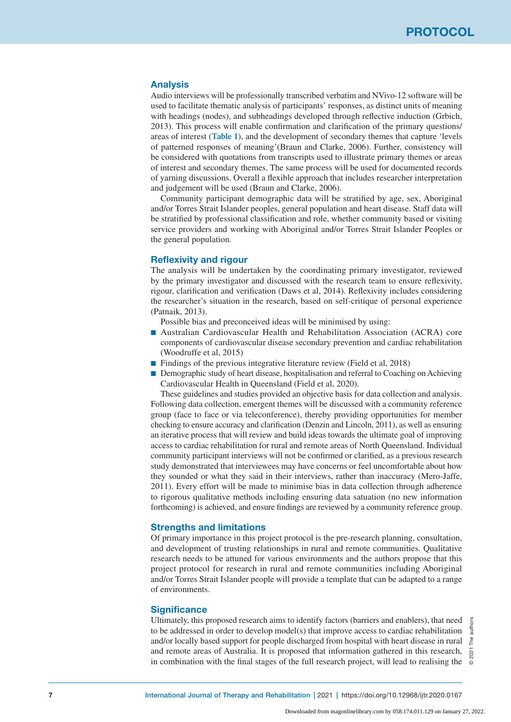# Analysis

Audio interviews will be professionally transcribed verbatim and NVivo-12 software will be used to facilitate thematic analysis of participants' responses, as distinct units of meaning with headings (nodes), and subheadings developed through reflective induction (Grbich, 2013). This process will enable confirmation and clarification of the primary questions/ areas of interest (**Table 1**), and the development of secondary themes that capture 'levels of patterned responses of meaning'(Braun and Clarke, 2006). Further, consistency will be considered with quotations from transcripts used to illustrate primary themes or areas of interest and secondary themes. The same process will be used for documented records of yarning discussions. Overall a flexible approach that includes researcher interpretation and judgement will be used (Braun and Clarke, 2006).

Community participant demographic data will be stratified by age, sex, Aboriginal and/or Torres Strait Islander peoples, general population and heart disease. Staff data will be stratified by professional classification and role, whether community based or visiting service providers and working with Aboriginal and/or Torres Strait Islander Peoples or the general population.

# Reflexivity and rigour

The analysis will be undertaken by the coordinating primary investigator, reviewed by the primary investigator and discussed with the research team to ensure reflexivity, rigour, clarification and verification (Daws et al, 2014). Reflexivity includes considering the researcher's situation in the research, based on self-critique of personal experience (Patnaik, 2013).

Possible bias and preconceived ideas will be minimised by using:

- Australian Cardiovascular Health and Rehabilitation Association (ACRA) core components of cardiovascular disease secondary prevention and cardiac rehabilitation (Woodruffe et al, 2015)
- Findings of the previous integrative literature review (Field et al, 2018)
- Demographic study of heart disease, hospitalisation and referral to Coaching on Achieving Cardiovascular Health in Queensland (Field et al, 2020).

These guidelines and studies provided an objective basis for data collection and analysis. Following data collection, emergent themes will be discussed with a community reference group (face to face or via teleconference), thereby providing opportunities for member checking to ensure accuracy and clarification (Denzin and Lincoln, 2011), as well as ensuring an iterative process that will review and build ideas towards the ultimate goal of improving access to cardiac rehabilitation for rural and remote areas of North Queensland. Individual community participant interviews will not be confirmed or clarified, as a previous research study demonstrated that interviewees may have concerns or feel uncomfortable about how they sounded or what they said in their interviews, rather than inaccuracy (Mero-Jaffe, 2011). Every effort will be made to minimise bias in data collection through adherence to rigorous qualitative methods including ensuring data satuation (no new information forthcoming) is achieved, and ensure findings are reviewed by a community reference group.

# Strengths and limitations

Of primary importance in this project protocol is the pre-research planning, consultation, and development of trusting relationships in rural and remote communities. Qualitative research needs to be attuned for various environments and the authors propose that this project protocol for research in rural and remote communities including Aboriginal and/or Torres Strait Islander people will provide a template that can be adapted to a range of environments.

# **Significance**

Ultimately, this proposed research aims to identify factors (barriers and enablers), that need to be addressed in order to develop model(s) that improve access to cardiac rehabilitation and/or locally based support for people discharged from hospital with heart disease in rural and remote areas of Australia. It is proposed that information gathered in this research, in combination with the final stages of the full research project, will lead to realising the

© 2021 The authors authors Le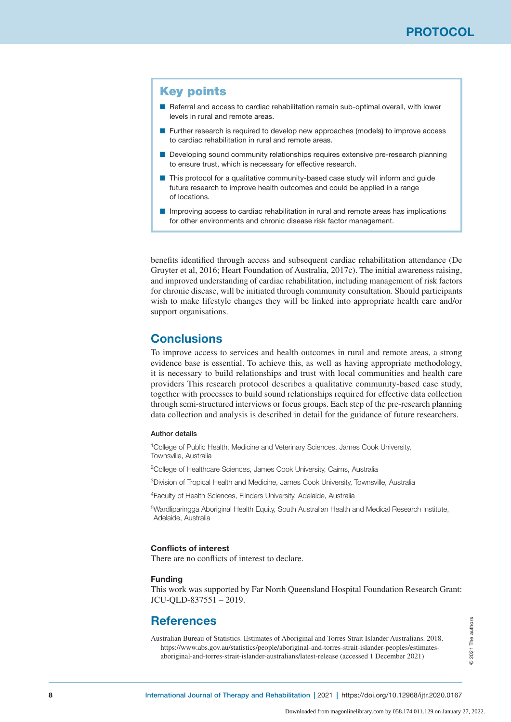# Key points

- Referral and access to cardiac rehabilitation remain sub-optimal overall, with lower levels in rural and remote areas.
- Further research is required to develop new approaches (models) to improve access to cardiac rehabilitation in rural and remote areas.
- Developing sound community relationships requires extensive pre-research planning to ensure trust, which is necessary for effective research.
- This protocol for a qualitative community-based case study will inform and quide future research to improve health outcomes and could be applied in a range of locations.
- Improving access to cardiac rehabilitation in rural and remote areas has implications for other environments and chronic disease risk factor management.

benefits identified through access and subsequent cardiac rehabilitation attendance (De Gruyter et al, 2016; Heart Foundation of Australia, 2017c). The initial awareness raising, and improved understanding of cardiac rehabilitation, including management of risk factors for chronic disease, will be initiated through community consultation. Should participants wish to make lifestyle changes they will be linked into appropriate health care and/or support organisations.

# **Conclusions**

To improve access to services and health outcomes in rural and remote areas, a strong evidence base is essential. To achieve this, as well as having appropriate methodology, it is necessary to build relationships and trust with local communities and health care providers This research protocol describes a qualitative community-based case study, together with processes to build sound relationships required for effective data collection through semi-structured interviews or focus groups. Each step of the pre-research planning data collection and analysis is described in detail for the guidance of future researchers.

#### Author details

1College of Public Health, Medicine and Veterinary Sciences, James Cook University, Townsville, Australia

2College of Healthcare Sciences, James Cook University, Cairns, Australia

3Division of Tropical Health and Medicine, James Cook University, Townsville, Australia

4Faculty of Health Sciences, Flinders University, Adelaide, Australia

5Wardliparingga Aboriginal Health Equity, South Australian Health and Medical Research Institute, Adelaide, Australia

#### Conflicts of interest

There are no conflicts of interest to declare.

#### Funding

This work was supported by Far North Queensland Hospital Foundation Research Grant: JCU-QLD-837551 – 2019.

# **References**

Australian Bureau of Statistics. Estimates of Aboriginal and Torres Strait Islander Australians. 2018. https://www.abs.gov.au/statistics/people/aboriginal-and-torres-strait-islander-peoples/estimatesaboriginal-and-torres-strait-islander-australians/latest-release (accessed 1 December 2021)

2021 The authors © 2021 The authors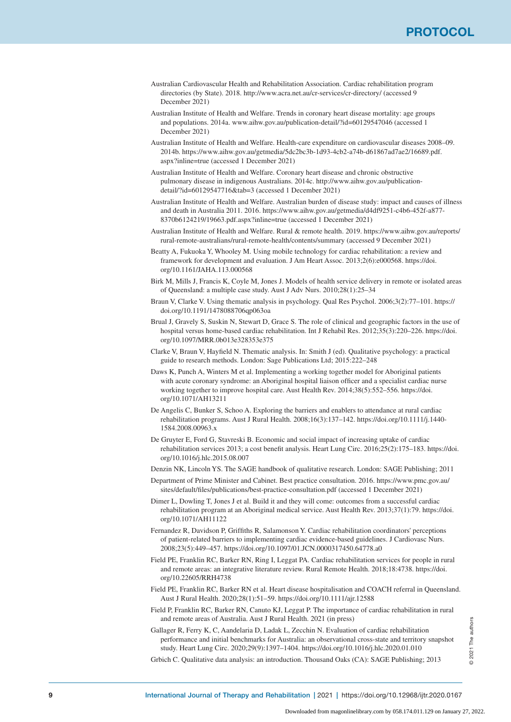- Australian Cardiovascular Health and Rehabilitation Association. Cardiac rehabilitation program directories (by State). 2018. http://www.acra.net.au/cr-services/cr-directory/ (accessed 9 December 2021)
- Australian Institute of Health and Welfare. Trends in coronary heart disease mortality: age groups and populations. 2014a. www.aihw.gov.au/publication-detail/?id=60129547046 (accessed 1 December 2021)
- Australian Institute of Health and Welfare. Health-care expenditure on cardiovascular diseases 2008–09. 2014b. https://www.aihw.gov.au/getmedia/5dc2bc3b-1d93-4cb2-a74b-d61867ad7ae2/16689.pdf. aspx?inline=true (accessed 1 December 2021)
- Australian Institute of Health and Welfare. Coronary heart disease and chronic obstructive pulmonary disease in indigenous Australians. 2014c. http://www.aihw.gov.au/publicationdetail/?id=60129547716&tab=3 (accessed 1 December 2021)
- Australian Institute of Health and Welfare. Australian burden of disease study: impact and causes of illness and death in Australia 2011. 2016. https://www.aihw.gov.au/getmedia/d4df9251-c4b6-452f-a877- 8370b6124219/19663.pdf.aspx?inline=true (accessed 1 December 2021)
- Australian Institute of Health and Welfare. Rural & remote health. 2019. https://www.aihw.gov.au/reports/ rural-remote-australians/rural-remote-health/contents/summary (accessed 9 December 2021)
- Beatty A, Fukuoka Y, Whooley M. Using mobile technology for cardiac rehabilitation: a review and framework for development and evaluation. J Am Heart Assoc. 2013;2(6):e000568. https://doi. org/10.1161/JAHA.113.000568
- Birk M, Mills J, Francis K, Coyle M, Jones J. Models of health service delivery in remote or isolated areas of Queensland: a multiple case study. Aust J Adv Nurs. 2010;28(1):25–34
- Braun V, Clarke V. Using thematic analysis in psychology. Qual Res Psychol. 2006;3(2):77–101. https:// doi.org/10.1191/1478088706qp063oa
- Brual J, Gravely S, Suskin N, Stewart D, Grace S. The role of clinical and geographic factors in the use of hospital versus home-based cardiac rehabilitation. Int J Rehabil Res. 2012;35(3):220–226. https://doi. org/10.1097/MRR.0b013e328353e375
- Clarke V, Braun V, Hayfield N. Thematic analysis. In: Smith J (ed). Qualitative psychology: a practical guide to research methods. London: Sage Publications Ltd; 2015:222–248
- Daws K, Punch A, Winters M et al. Implementing a working together model for Aboriginal patients with acute coronary syndrome: an Aboriginal hospital liaison officer and a specialist cardiac nurse working together to improve hospital care. Aust Health Rev. 2014;38(5):552–556. https://doi. org/10.1071/AH13211
- De Angelis C, Bunker S, Schoo A. Exploring the barriers and enablers to attendance at rural cardiac rehabilitation programs. Aust J Rural Health. 2008;16(3):137–142. https://doi.org/10.1111/j.1440- 1584.2008.00963.x
- De Gruyter E, Ford G, Stavreski B. Economic and social impact of increasing uptake of cardiac rehabilitation services 2013; a cost benefit analysis. Heart Lung Circ. 2016;25(2):175–183. https://doi. org/10.1016/j.hlc.2015.08.007
- Denzin NK, Lincoln YS. The SAGE handbook of qualitative research. London: SAGE Publishing; 2011
- Department of Prime Minister and Cabinet. Best practice consultation. 2016. https://www.pmc.gov.au/ sites/default/files/publications/best-practice-consultation.pdf (accessed 1 December 2021)
- Dimer L, Dowling T, Jones J et al. Build it and they will come: outcomes from a successful cardiac rehabilitation program at an Aboriginal medical service. Aust Health Rev. 2013;37(1):79. https://doi. org/10.1071/AH11122
- Fernandez R, Davidson P, Griffiths R, Salamonson Y. Cardiac rehabilitation coordinators' perceptions of patient-related barriers to implementing cardiac evidence-based guidelines. J Cardiovasc Nurs. 2008;23(5):449–457. https://doi.org/10.1097/01.JCN.0000317450.64778.a0
- Field PE, Franklin RC, Barker RN, Ring I, Leggat PA. Cardiac rehabilitation services for people in rural and remote areas: an integrative literature review. Rural Remote Health. 2018;18:4738. https://doi. org/10.22605/RRH4738
- Field PE, Franklin RC, Barker RN et al. Heart disease hospitalisation and COACH referral in Queensland. Aust J Rural Health. 2020;28(1):51–59. https://doi.org/10.1111/ajr.12588
- Field P, Franklin RC, Barker RN, Canuto KJ, Leggat P. The importance of cardiac rehabilitation in rural and remote areas of Australia. Aust J Rural Health. 2021 (in press)
- Gallager R, Ferry K, C, Aandelaria D, Ladak L, Zecchin N. Evaluation of cardiac rehabilitation performance and initial benchmarks for Australia: an observational cross-state and territory snapshot study. Heart Lung Circ. 2020;29(9):1397–1404. https://doi.org/10.1016/j.hlc.2020.01.010

Grbich C. Qualitative data analysis: an introduction. Thousand Oaks (CA): SAGE Publishing; 2013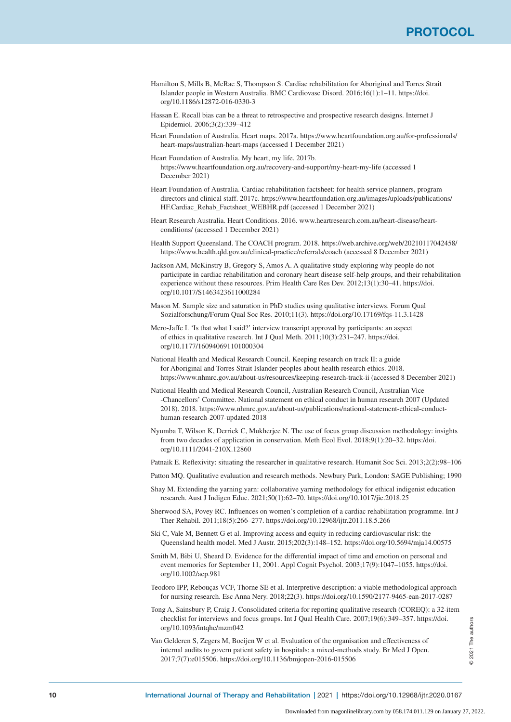- Hamilton S, Mills B, McRae S, Thompson S. Cardiac rehabilitation for Aboriginal and Torres Strait Islander people in Western Australia. BMC Cardiovasc Disord. 2016;16(1):1–11. https://doi. org/10.1186/s12872-016-0330-3
- Hassan E. Recall bias can be a threat to retrospective and prospective research designs. Internet J Epidemiol. 2006;3(2):339–412
- Heart Foundation of Australia. Heart maps. 2017a. https://www.heartfoundation.org.au/for-professionals/ heart-maps/australian-heart-maps (accessed 1 December 2021)
- Heart Foundation of Australia. My heart, my life. 2017b. https://www.heartfoundation.org.au/recovery-and-support/my-heart-my-life (accessed 1 December 2021)
- Heart Foundation of Australia. Cardiac rehabilitation factsheet: for health service planners, program directors and clinical staff. 2017c. https://www.heartfoundation.org.au/images/uploads/publications/ HF.Cardiac\_Rehab\_Factsheet\_WEBHR.pdf (accessed 1 December 2021)
- Heart Research Australia. Heart Conditions. 2016. www.heartresearch.com.au/heart-disease/heartconditions/ (accessed 1 December 2021)
- Health Support Queensland. The COACH program. 2018. https://web.archive.org/web/20210117042458/ https://www.health.qld.gov.au/clinical-practice/referrals/coach (accessed 8 December 2021)
- Jackson AM, McKinstry B, Gregory S, Amos A. A qualitative study exploring why people do not participate in cardiac rehabilitation and coronary heart disease self-help groups, and their rehabilitation experience without these resources. Prim Health Care Res Dev. 2012;13(1):30–41. https://doi. org/10.1017/S1463423611000284
- Mason M. Sample size and saturation in PhD studies using qualitative interviews. Forum Qual Sozialforschung/Forum Qual Soc Res. 2010;11(3). https://doi.org/10.17169/fqs-11.3.1428
- Mero-Jaffe I. 'Is that what I said?' interview transcript approval by participants: an aspect of ethics in qualitative research. Int J Qual Meth. 2011;10(3):231–247. https://doi. org/10.1177/160940691101000304
- National Health and Medical Research Council. Keeping research on track II: a guide for Aboriginal and Torres Strait Islander peoples about health research ethics. 2018. https://www.nhmrc.gov.au/about-us/resources/keeping-research-track-ii (accessed 8 December 2021)
- National Health and Medical Research Council, Australian Research Council, Australian Vice -Chancellors' Committee. National statement on ethical conduct in human research 2007 (Updated 2018). 2018. https://www.nhmrc.gov.au/about-us/publications/national-statement-ethical-conducthuman-research-2007-updated-2018
- Nyumba T, Wilson K, Derrick C, Mukherjee N. The use of focus group discussion methodology: insights from two decades of application in conservation. Meth Ecol Evol. 2018;9(1):20–32. https:/doi. org/10.1111/2041-210X.12860

Patnaik E. Reflexivity: situating the researcher in qualitative research. Humanit Soc Sci. 2013;2(2):98–106

- Patton MQ. Qualitative evaluation and research methods. Newbury Park, London: SAGE Publishing; 1990
- Shay M. Extending the yarning yarn: collaborative yarning methodology for ethical indigenist education research. Aust J Indigen Educ. 2021;50(1):62–70. https://doi.org/10.1017/jie.2018.25
- Sherwood SA, Povey RC. Influences on women's completion of a cardiac rehabilitation programme. Int J Ther Rehabil. 2011;18(5):266–277. https://doi.org/10.12968/ijtr.2011.18.5.266
- Ski C, Vale M, Bennett G et al. Improving access and equity in reducing cardiovascular risk: the Queensland health model. Med J Austr. 2015;202(3):148–152. https://doi.org/10.5694/mja14.00575
- Smith M, Bibi U, Sheard D. Evidence for the differential impact of time and emotion on personal and event memories for September 11, 2001. Appl Cognit Psychol. 2003;17(9):1047–1055. https://doi. org/10.1002/acp.981
- Teodoro IPP, Rebouças VCF, Thorne SE et al. Interpretive description: a viable methodological approach for nursing research. Esc Anna Nery. 2018;22(3). https://doi.org/10.1590/2177-9465-ean-2017-0287
- Tong A, Sainsbury P, Craig J. Consolidated criteria for reporting qualitative research (COREQ): a 32-item checklist for interviews and focus groups. Int J Qual Health Care. 2007;19(6):349–357. https://doi. org/10.1093/intqhc/mzm042

Van Gelderen S, Zegers M, Boeijen W et al. Evaluation of the organisation and effectiveness of internal audits to govern patient safety in hospitals: a mixed-methods study. Br Med J Open. 2017;7(7):e015506. https://doi.org/10.1136/bmjopen-2016-015506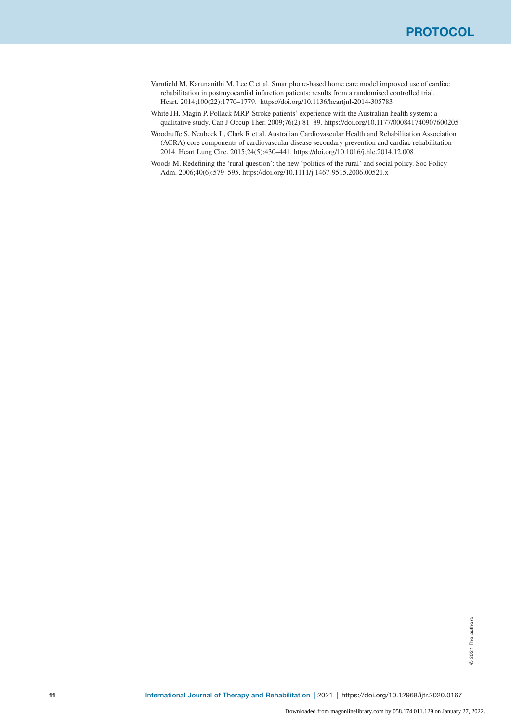- Varnfield M, Karunanithi M, Lee C et al. Smartphone-based home care model improved use of cardiac rehabilitation in postmyocardial infarction patients: results from a randomised controlled trial. Heart. 2014;100(22):1770–1779. https://doi.org/10.1136/heartjnl-2014-305783
- White JH, Magin P, Pollack MRP. Stroke patients' experience with the Australian health system: a qualitative study. Can J Occup Ther. 2009;76(2):81–89. https://doi.org/10.1177/000841740907600205
- Woodruffe S, Neubeck L, Clark R et al. Australian Cardiovascular Health and Rehabilitation Association (ACRA) core components of cardiovascular disease secondary prevention and cardiac rehabilitation 2014. Heart Lung Circ. 2015;24(5):430–441. https://doi.org/10.1016/j.hlc.2014.12.008
- Woods M. Redefining the 'rural question': the new 'politics of the rural' and social policy. Soc Policy Adm. 2006;40(6):579–595. https://doi.org/10.1111/j.1467-9515.2006.00521.x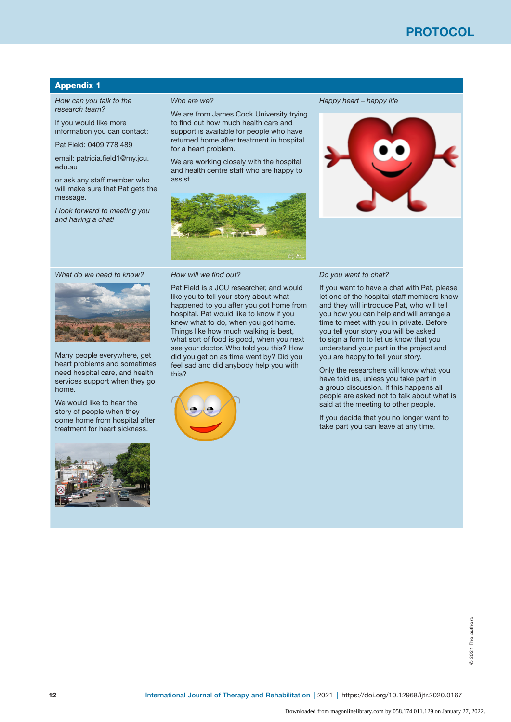# Appendix 1

*How can you talk to the research team?*

If you would like more information you can contact:

Pat Field: 0409 778 489

email: patricia.field1@my.jcu. edu.au

or ask any staff member who will make sure that Pat gets the message.

*I look forward to meeting you and having a chat!*

#### *Who are we?*

We are from James Cook University trying to find out how much health care and support is available for people who have returned home after treatment in hospital for a heart problem.

We are working closely with the hospital and health centre staff who are happy to assist



Pat Field is a JCU researcher, and would like you to tell your story about what happened to you after you got home from hospital. Pat would like to know if you knew what to do, when you got home. Things like how much walking is best, what sort of food is good, when you next see your doctor. Who told you this? How did you get on as time went by? Did you feel sad and did anybody help you with

*Happy heart – happy life*



#### *Do you want to chat?*

If you want to have a chat with Pat, please let one of the hospital staff members know and they will introduce Pat, who will tell you how you can help and will arrange a time to meet with you in private. Before you tell your story you will be asked to sign a form to let us know that you understand your part in the project and you are happy to tell your story.

Only the researchers will know what you have told us, unless you take part in a group discussion. If this happens all people are asked not to talk about what is said at the meeting to other people.

If you decide that you no longer want to take part you can leave at any time.

*What do we need to know?*



Many people everywhere, get heart problems and sometimes need hospital care, and health services support when they go home.

We would like to hear the story of people when they come home from hospital after treatment for heart sickness.



this?

*How will we find out?*

2021 The authors © 2021 The authors